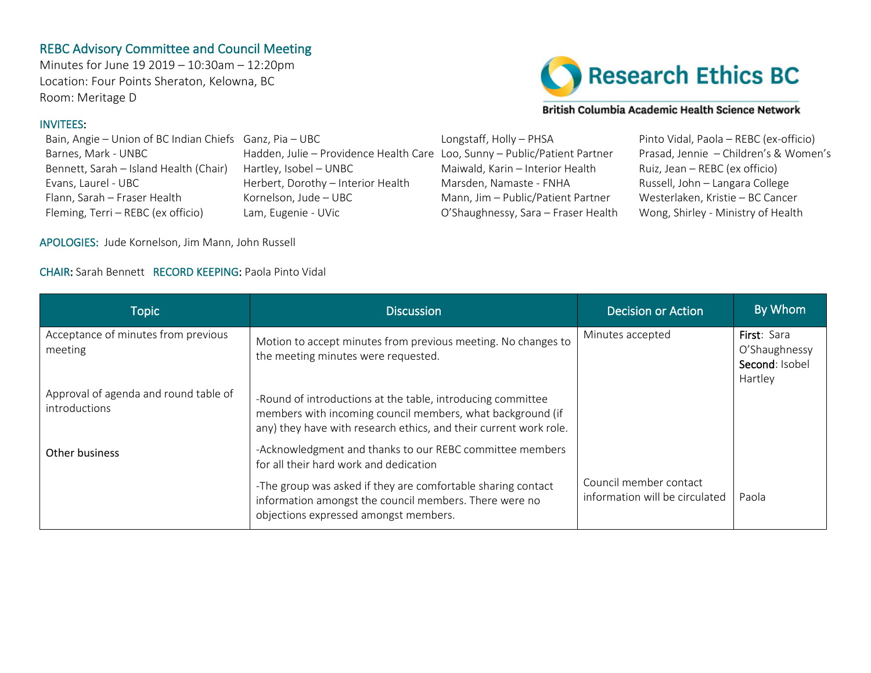## REBC Advisory Committee and Council Meeting

Minutes for June 19 2019 – 10:30am – 12:20pm Location: Four Points Sheraton, Kelowna, BC Room: Meritage D

## INVITEES:

Bennett, Sarah – Island Health (Chair) Hartley, Isobel – UNBC Maiwald, Karin – Interior Health Ruiz, Jean – REBC (ex officio) Evans, Laurel - UBC Herbert, Dorothy – Interior Health Marsden, Namaste - FNHA Russell, John – Langara College Flann, Sarah – Fraser Health Kornelson, Jude – UBC Mann, Jim – Public/Patient Partner Westerlaken, Kristie – BC Cancer Fleming, Terri – REBC (ex officio) Lam, Eugenie - UVic O'Shaughnessy, Sara – Fraser Health Wong, Shirley - Ministry of Health



## British Columbia Academic Health Science Network

Bain, Angie – Union of BC Indian Chiefs Ganz, Pia – UBC Longstaff, Holly – PHSA Pinto Vidal, Paola – REBC (ex-officio) Barnes, Mark - UNBC Hadden, Julie – Providence Health Care Loo, Sunny – Public/Patient Partner Prasad, Jennie – Children's & Women's

APOLOGIES: Jude Kornelson, Jim Mann, John Russell

## CHAIR: Sarah Bennett RECORD KEEPING: Paola Pinto Vidal

| <b>Topic</b>                                           | <b>Discussion</b>                                                                                                                                                                              | <b>Decision or Action</b>                                | By Whom                                                   |
|--------------------------------------------------------|------------------------------------------------------------------------------------------------------------------------------------------------------------------------------------------------|----------------------------------------------------------|-----------------------------------------------------------|
| Acceptance of minutes from previous<br>meeting         | Motion to accept minutes from previous meeting. No changes to<br>the meeting minutes were requested.                                                                                           | Minutes accepted                                         | First: Sara<br>O'Shaughnessy<br>Second: Isobel<br>Hartley |
| Approval of agenda and round table of<br>introductions | -Round of introductions at the table, introducing committee<br>members with incoming council members, what background (if<br>any) they have with research ethics, and their current work role. |                                                          |                                                           |
| Other business                                         | -Acknowledgment and thanks to our REBC committee members<br>for all their hard work and dedication                                                                                             |                                                          |                                                           |
|                                                        | -The group was asked if they are comfortable sharing contact<br>information amongst the council members. There were no<br>objections expressed amongst members.                                | Council member contact<br>information will be circulated | Paola                                                     |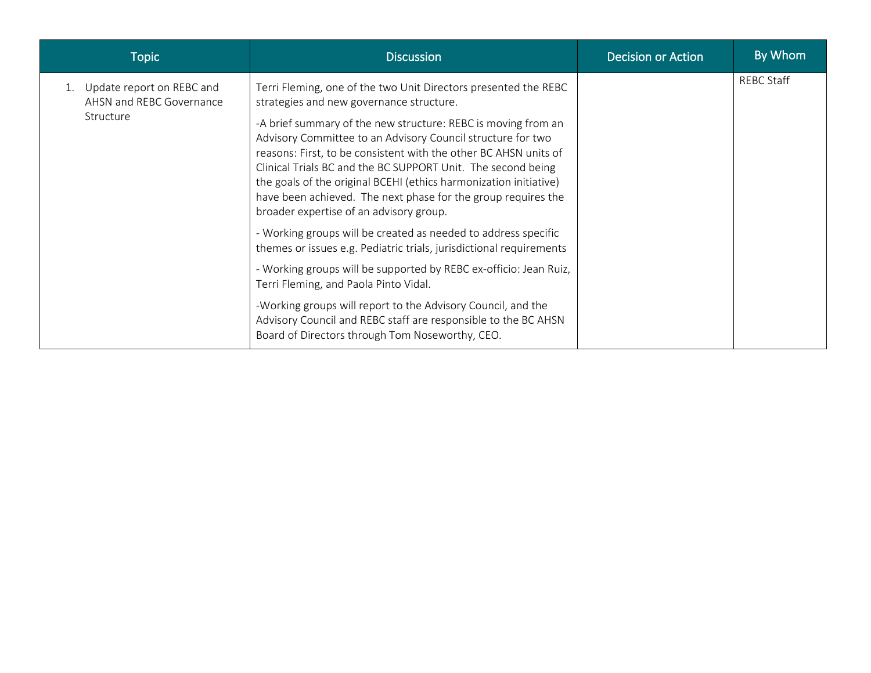| <b>Topic</b>                                                          | <b>Discussion</b>                                                                                                                                                                                                                                                                                                                                                                                                                                                                                                                                                                                                                                                                                                                                                                                                       | <b>Decision or Action</b> | By Whom           |
|-----------------------------------------------------------------------|-------------------------------------------------------------------------------------------------------------------------------------------------------------------------------------------------------------------------------------------------------------------------------------------------------------------------------------------------------------------------------------------------------------------------------------------------------------------------------------------------------------------------------------------------------------------------------------------------------------------------------------------------------------------------------------------------------------------------------------------------------------------------------------------------------------------------|---------------------------|-------------------|
| 1. Update report on REBC and<br>AHSN and REBC Governance<br>Structure | Terri Fleming, one of the two Unit Directors presented the REBC<br>strategies and new governance structure.<br>-A brief summary of the new structure: REBC is moving from an<br>Advisory Committee to an Advisory Council structure for two<br>reasons: First, to be consistent with the other BC AHSN units of<br>Clinical Trials BC and the BC SUPPORT Unit. The second being<br>the goals of the original BCEHI (ethics harmonization initiative)<br>have been achieved. The next phase for the group requires the<br>broader expertise of an advisory group.<br>- Working groups will be created as needed to address specific<br>themes or issues e.g. Pediatric trials, jurisdictional requirements<br>- Working groups will be supported by REBC ex-officio: Jean Ruiz,<br>Terri Fleming, and Paola Pinto Vidal. |                           | <b>REBC Staff</b> |
|                                                                       | -Working groups will report to the Advisory Council, and the<br>Advisory Council and REBC staff are responsible to the BC AHSN<br>Board of Directors through Tom Noseworthy, CEO.                                                                                                                                                                                                                                                                                                                                                                                                                                                                                                                                                                                                                                       |                           |                   |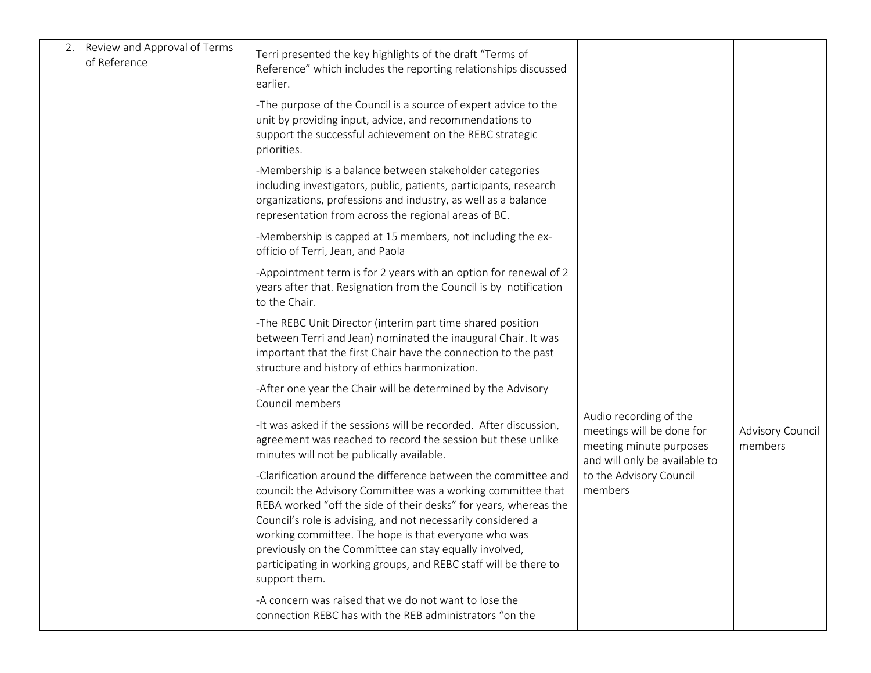| 2. Review and Approval of Terms<br>of Reference | Terri presented the key highlights of the draft "Terms of<br>Reference" which includes the reporting relationships discussed<br>earlier.                                                                                                                                                                                                                                                                                                                                  |                                                                                                                                                       |                             |
|-------------------------------------------------|---------------------------------------------------------------------------------------------------------------------------------------------------------------------------------------------------------------------------------------------------------------------------------------------------------------------------------------------------------------------------------------------------------------------------------------------------------------------------|-------------------------------------------------------------------------------------------------------------------------------------------------------|-----------------------------|
|                                                 | -The purpose of the Council is a source of expert advice to the<br>unit by providing input, advice, and recommendations to<br>support the successful achievement on the REBC strategic<br>priorities.                                                                                                                                                                                                                                                                     |                                                                                                                                                       |                             |
|                                                 | -Membership is a balance between stakeholder categories<br>including investigators, public, patients, participants, research<br>organizations, professions and industry, as well as a balance<br>representation from across the regional areas of BC.                                                                                                                                                                                                                     |                                                                                                                                                       |                             |
|                                                 | -Membership is capped at 15 members, not including the ex-<br>officio of Terri, Jean, and Paola                                                                                                                                                                                                                                                                                                                                                                           |                                                                                                                                                       |                             |
|                                                 | -Appointment term is for 2 years with an option for renewal of 2<br>years after that. Resignation from the Council is by notification<br>to the Chair.                                                                                                                                                                                                                                                                                                                    |                                                                                                                                                       |                             |
|                                                 | -The REBC Unit Director (interim part time shared position<br>between Terri and Jean) nominated the inaugural Chair. It was<br>important that the first Chair have the connection to the past<br>structure and history of ethics harmonization.                                                                                                                                                                                                                           | Audio recording of the<br>meetings will be done for<br>meeting minute purposes<br>and will only be available to<br>to the Advisory Council<br>members | Advisory Council<br>members |
|                                                 | -After one year the Chair will be determined by the Advisory<br>Council members                                                                                                                                                                                                                                                                                                                                                                                           |                                                                                                                                                       |                             |
|                                                 | -It was asked if the sessions will be recorded. After discussion,<br>agreement was reached to record the session but these unlike<br>minutes will not be publically available.                                                                                                                                                                                                                                                                                            |                                                                                                                                                       |                             |
|                                                 | -Clarification around the difference between the committee and<br>council: the Advisory Committee was a working committee that<br>REBA worked "off the side of their desks" for years, whereas the<br>Council's role is advising, and not necessarily considered a<br>working committee. The hope is that everyone who was<br>previously on the Committee can stay equally involved,<br>participating in working groups, and REBC staff will be there to<br>support them. |                                                                                                                                                       |                             |
|                                                 | -A concern was raised that we do not want to lose the<br>connection REBC has with the REB administrators "on the                                                                                                                                                                                                                                                                                                                                                          |                                                                                                                                                       |                             |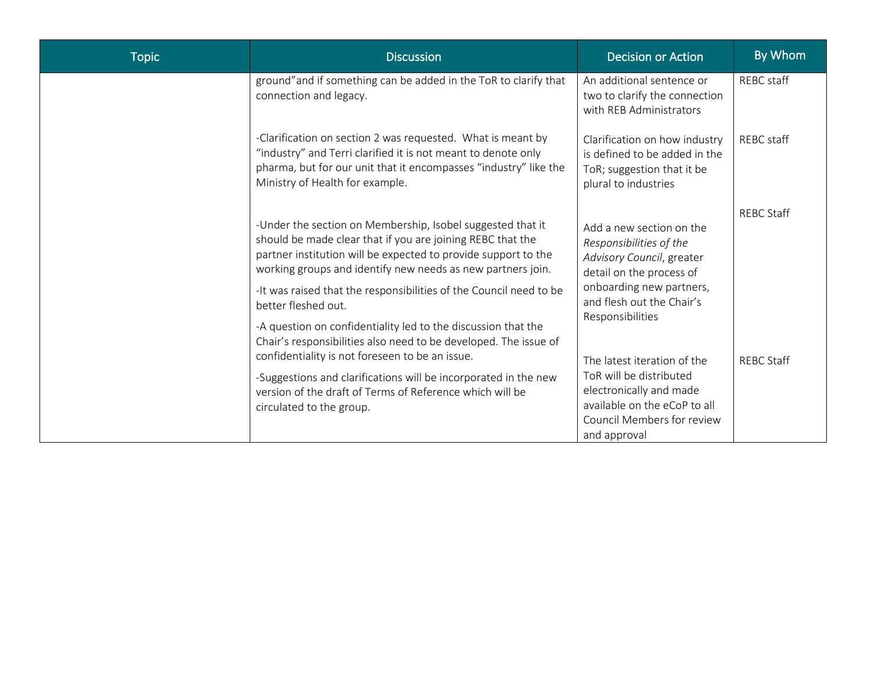| <b>Topic</b> | <b>Discussion</b>                                                                                                                                                                                                                                                                                                               | <b>Decision or Action</b>                                                                                                                                       | By Whom           |
|--------------|---------------------------------------------------------------------------------------------------------------------------------------------------------------------------------------------------------------------------------------------------------------------------------------------------------------------------------|-----------------------------------------------------------------------------------------------------------------------------------------------------------------|-------------------|
|              | ground" and if something can be added in the ToR to clarify that<br>connection and legacy.                                                                                                                                                                                                                                      | An additional sentence or<br>two to clarify the connection<br>with REB Administrators                                                                           | REBC staff        |
|              | -Clarification on section 2 was requested. What is meant by<br>"industry" and Terri clarified it is not meant to denote only<br>pharma, but for our unit that it encompasses "industry" like the<br>Ministry of Health for example.                                                                                             | Clarification on how industry<br>is defined to be added in the<br>ToR; suggestion that it be<br>plural to industries                                            | REBC staff        |
|              | -Under the section on Membership, Isobel suggested that it<br>should be made clear that if you are joining REBC that the<br>partner institution will be expected to provide support to the<br>working groups and identify new needs as new partners join.<br>-It was raised that the responsibilities of the Council need to be | Add a new section on the<br>Responsibilities of the<br>Advisory Council, greater<br>detail on the process of<br>onboarding new partners,                        | <b>REBC Staff</b> |
|              | better fleshed out.<br>-A question on confidentiality led to the discussion that the<br>Chair's responsibilities also need to be developed. The issue of                                                                                                                                                                        | and flesh out the Chair's<br>Responsibilities                                                                                                                   |                   |
|              | confidentiality is not foreseen to be an issue.<br>-Suggestions and clarifications will be incorporated in the new<br>version of the draft of Terms of Reference which will be<br>circulated to the group.                                                                                                                      | The latest iteration of the<br>ToR will be distributed<br>electronically and made<br>available on the eCoP to all<br>Council Members for review<br>and approval | <b>REBC Staff</b> |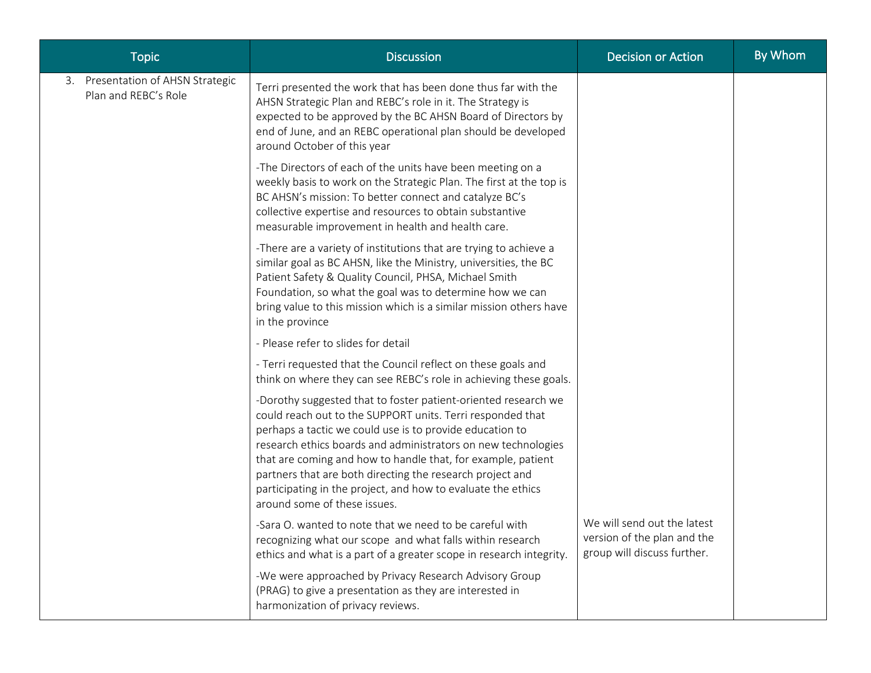| <b>Topic</b>                                              | <b>Discussion</b>                                                                                                                                                                                                                                                                                                                                                                                                                                                                      | <b>Decision or Action</b>                                                                 | By Whom |
|-----------------------------------------------------------|----------------------------------------------------------------------------------------------------------------------------------------------------------------------------------------------------------------------------------------------------------------------------------------------------------------------------------------------------------------------------------------------------------------------------------------------------------------------------------------|-------------------------------------------------------------------------------------------|---------|
| 3. Presentation of AHSN Strategic<br>Plan and REBC's Role | Terri presented the work that has been done thus far with the<br>AHSN Strategic Plan and REBC's role in it. The Strategy is<br>expected to be approved by the BC AHSN Board of Directors by<br>end of June, and an REBC operational plan should be developed<br>around October of this year                                                                                                                                                                                            |                                                                                           |         |
|                                                           | -The Directors of each of the units have been meeting on a<br>weekly basis to work on the Strategic Plan. The first at the top is<br>BC AHSN's mission: To better connect and catalyze BC's<br>collective expertise and resources to obtain substantive<br>measurable improvement in health and health care.                                                                                                                                                                           |                                                                                           |         |
|                                                           | -There are a variety of institutions that are trying to achieve a<br>similar goal as BC AHSN, like the Ministry, universities, the BC<br>Patient Safety & Quality Council, PHSA, Michael Smith<br>Foundation, so what the goal was to determine how we can<br>bring value to this mission which is a similar mission others have<br>in the province                                                                                                                                    |                                                                                           |         |
|                                                           | - Please refer to slides for detail                                                                                                                                                                                                                                                                                                                                                                                                                                                    |                                                                                           |         |
|                                                           | - Terri requested that the Council reflect on these goals and<br>think on where they can see REBC's role in achieving these goals.                                                                                                                                                                                                                                                                                                                                                     |                                                                                           |         |
|                                                           | -Dorothy suggested that to foster patient-oriented research we<br>could reach out to the SUPPORT units. Terri responded that<br>perhaps a tactic we could use is to provide education to<br>research ethics boards and administrators on new technologies<br>that are coming and how to handle that, for example, patient<br>partners that are both directing the research project and<br>participating in the project, and how to evaluate the ethics<br>around some of these issues. |                                                                                           |         |
|                                                           | -Sara O. wanted to note that we need to be careful with<br>recognizing what our scope and what falls within research<br>ethics and what is a part of a greater scope in research integrity.                                                                                                                                                                                                                                                                                            | We will send out the latest<br>version of the plan and the<br>group will discuss further. |         |
|                                                           | -We were approached by Privacy Research Advisory Group<br>(PRAG) to give a presentation as they are interested in<br>harmonization of privacy reviews.                                                                                                                                                                                                                                                                                                                                 |                                                                                           |         |